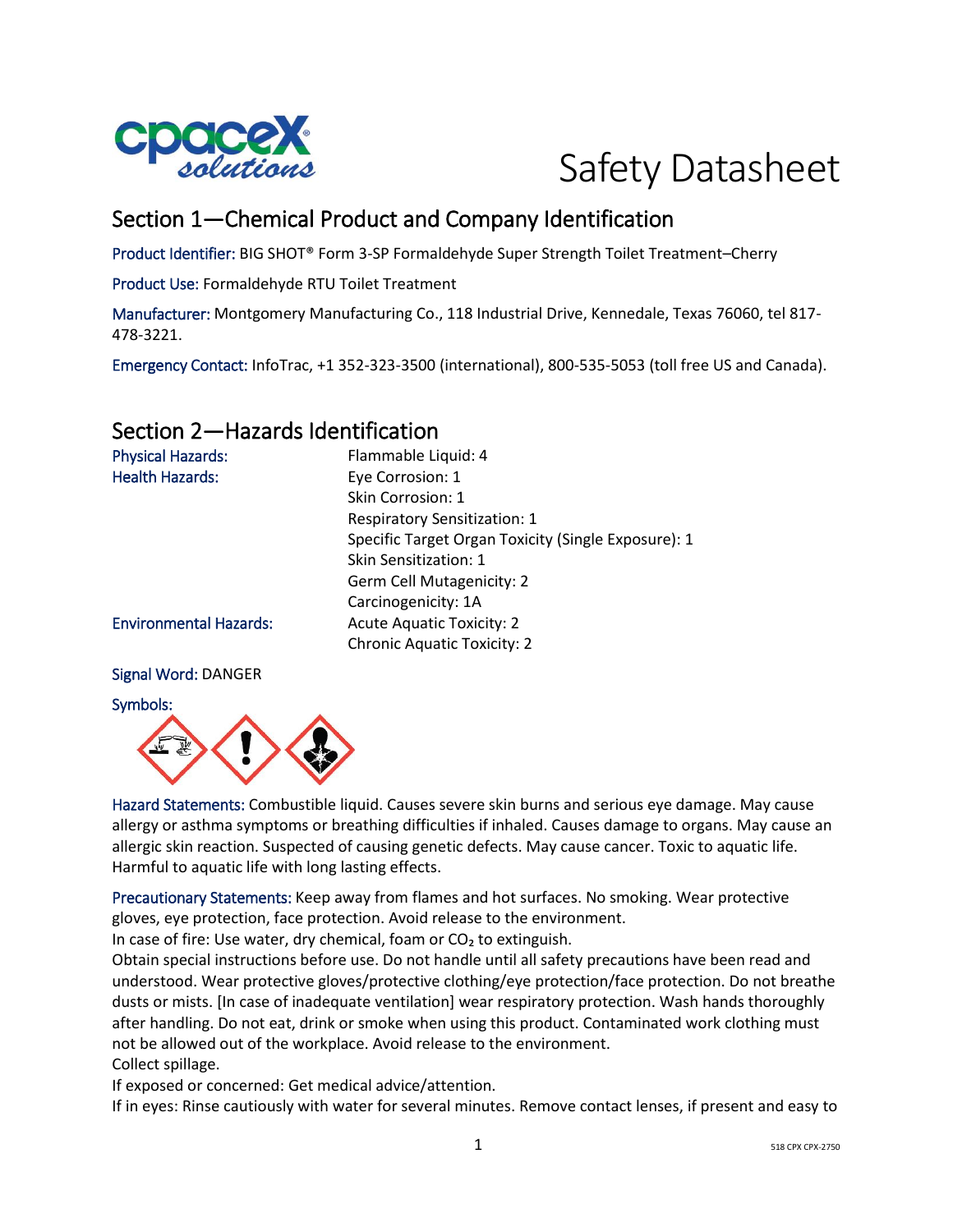

# Safety Datasheet

# Section 1—Chemical Product and Company Identification

Product Identifier: BIG SHOT® Form 3-SP Formaldehyde Super Strength Toilet Treatment–Cherry

Product Use: Formaldehyde RTU Toilet Treatment

Manufacturer: Montgomery Manufacturing Co., 118 Industrial Drive, Kennedale, Texas 76060, tel 817- 478-3221.

Emergency Contact: InfoTrac, +1 352-323-3500 (international), 800-535-5053 (toll free US and Canada).

### Section 2—Hazards Identification

| <b>Physical Hazards:</b>      | Flammable Liquid: 4                                 |
|-------------------------------|-----------------------------------------------------|
| <b>Health Hazards:</b>        | Eye Corrosion: 1                                    |
|                               | Skin Corrosion: 1                                   |
|                               | <b>Respiratory Sensitization: 1</b>                 |
|                               | Specific Target Organ Toxicity (Single Exposure): 1 |
|                               | Skin Sensitization: 1                               |
|                               | Germ Cell Mutagenicity: 2                           |
|                               | Carcinogenicity: 1A                                 |
| <b>Environmental Hazards:</b> | <b>Acute Aquatic Toxicity: 2</b>                    |
|                               | <b>Chronic Aquatic Toxicity: 2</b>                  |
|                               |                                                     |

#### Signal Word: DANGER

Symbols:



Hazard Statements: Combustible liquid. Causes severe skin burns and serious eye damage. May cause allergy or asthma symptoms or breathing difficulties if inhaled. Causes damage to organs. May cause an allergic skin reaction. Suspected of causing genetic defects. May cause cancer. Toxic to aquatic life. Harmful to aquatic life with long lasting effects.

Precautionary Statements: Keep away from flames and hot surfaces. No smoking. Wear protective gloves, eye protection, face protection. Avoid release to the environment.

In case of fire: Use water, dry chemical, foam or  $CO<sub>2</sub>$  to extinguish.

Obtain special instructions before use. Do not handle until all safety precautions have been read and understood. Wear protective gloves/protective clothing/eye protection/face protection. Do not breathe dusts or mists. [In case of inadequate ventilation] wear respiratory protection. Wash hands thoroughly after handling. Do not eat, drink or smoke when using this product. Contaminated work clothing must not be allowed out of the workplace. Avoid release to the environment. Collect spillage.

If exposed or concerned: Get medical advice/attention.

If in eyes: Rinse cautiously with water for several minutes. Remove contact lenses, if present and easy to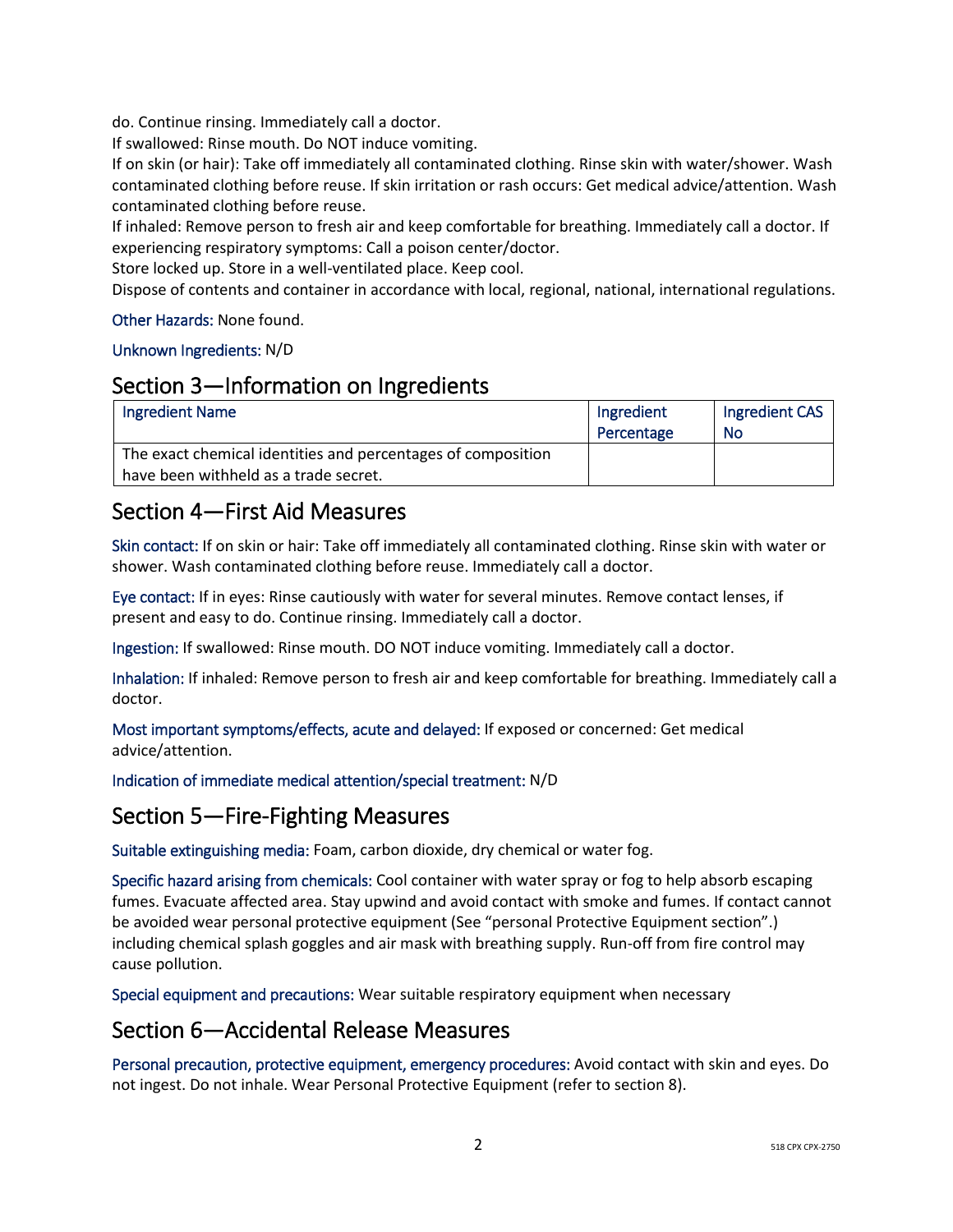do. Continue rinsing. Immediately call a doctor.

If swallowed: Rinse mouth. Do NOT induce vomiting.

If on skin (or hair): Take off immediately all contaminated clothing. Rinse skin with water/shower. Wash contaminated clothing before reuse. If skin irritation or rash occurs: Get medical advice/attention. Wash contaminated clothing before reuse.

If inhaled: Remove person to fresh air and keep comfortable for breathing. Immediately call a doctor. If experiencing respiratory symptoms: Call a poison center/doctor.

Store locked up. Store in a well-ventilated place. Keep cool.

Dispose of contents and container in accordance with local, regional, national, international regulations.

#### Other Hazards: None found.

#### Unknown Ingredients: N/D

#### Section 3—Information on Ingredients

| <b>Ingredient Name</b>                                       | Ingredient | Ingredient CAS |
|--------------------------------------------------------------|------------|----------------|
|                                                              | Percentage | No             |
| The exact chemical identities and percentages of composition |            |                |
| have been withheld as a trade secret.                        |            |                |

### Section 4—First Aid Measures

Skin contact: If on skin or hair: Take off immediately all contaminated clothing. Rinse skin with water or shower. Wash contaminated clothing before reuse. Immediately call a doctor.

Eye contact: If in eyes: Rinse cautiously with water for several minutes. Remove contact lenses, if present and easy to do. Continue rinsing. Immediately call a doctor.

Ingestion: If swallowed: Rinse mouth. DO NOT induce vomiting. Immediately call a doctor.

Inhalation: If inhaled: Remove person to fresh air and keep comfortable for breathing. Immediately call a doctor.

Most important symptoms/effects, acute and delayed: If exposed or concerned: Get medical advice/attention.

Indication of immediate medical attention/special treatment: N/D

#### Section 5—Fire-Fighting Measures

Suitable extinguishing media: Foam, carbon dioxide, dry chemical or water fog.

Specific hazard arising from chemicals: Cool container with water spray or fog to help absorb escaping fumes. Evacuate affected area. Stay upwind and avoid contact with smoke and fumes. If contact cannot be avoided wear personal protective equipment (See "personal Protective Equipment section".) including chemical splash goggles and air mask with breathing supply. Run-off from fire control may cause pollution.

Special equipment and precautions: Wear suitable respiratory equipment when necessary

#### Section 6—Accidental Release Measures

Personal precaution, protective equipment, emergency procedures: Avoid contact with skin and eyes. Do not ingest. Do not inhale. Wear Personal Protective Equipment (refer to section 8).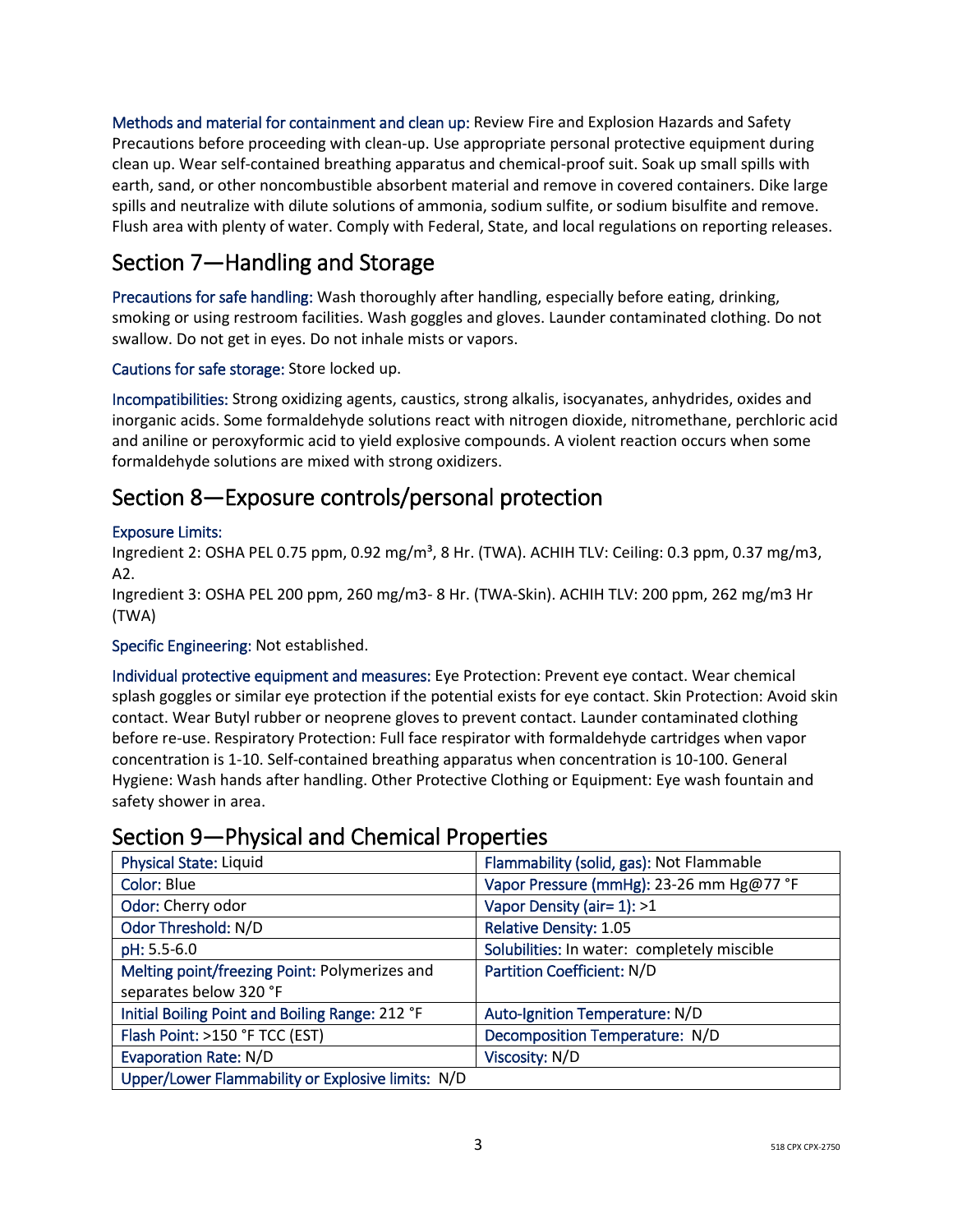Methods and material for containment and clean up: Review Fire and Explosion Hazards and Safety Precautions before proceeding with clean-up. Use appropriate personal protective equipment during clean up. Wear self-contained breathing apparatus and chemical-proof suit. Soak up small spills with earth, sand, or other noncombustible absorbent material and remove in covered containers. Dike large spills and neutralize with dilute solutions of ammonia, sodium sulfite, or sodium bisulfite and remove. Flush area with plenty of water. Comply with Federal, State, and local regulations on reporting releases.

# Section 7—Handling and Storage

Precautions for safe handling: Wash thoroughly after handling, especially before eating, drinking, smoking or using restroom facilities. Wash goggles and gloves. Launder contaminated clothing. Do not swallow. Do not get in eyes. Do not inhale mists or vapors.

Cautions for safe storage: Store locked up.

Incompatibilities: Strong oxidizing agents, caustics, strong alkalis, isocyanates, anhydrides, oxides and inorganic acids. Some formaldehyde solutions react with nitrogen dioxide, nitromethane, perchloric acid and aniline or peroxyformic acid to yield explosive compounds. A violent reaction occurs when some formaldehyde solutions are mixed with strong oxidizers.

### Section 8—Exposure controls/personal protection

#### Exposure Limits:

Ingredient 2: OSHA PEL 0.75 ppm, 0.92 mg/m<sup>3</sup>, 8 Hr. (TWA). ACHIH TLV: Ceiling: 0.3 ppm, 0.37 mg/m3, A2.

Ingredient 3: OSHA PEL 200 ppm, 260 mg/m3- 8 Hr. (TWA-Skin). ACHIH TLV: 200 ppm, 262 mg/m3 Hr (TWA)

Specific Engineering: Not established.

Individual protective equipment and measures: Eye Protection: Prevent eye contact. Wear chemical splash goggles or similar eye protection if the potential exists for eye contact. Skin Protection: Avoid skin contact. Wear Butyl rubber or neoprene gloves to prevent contact. Launder contaminated clothing before re-use. Respiratory Protection: Full face respirator with formaldehyde cartridges when vapor concentration is 1-10. Self-contained breathing apparatus when concentration is 10-100. General Hygiene: Wash hands after handling. Other Protective Clothing or Equipment: Eye wash fountain and safety shower in area.

### Section 9—Physical and Chemical Properties

| <b>Physical State: Liquid</b>                     | Flammability (solid, gas): Not Flammable    |
|---------------------------------------------------|---------------------------------------------|
| Color: Blue                                       | Vapor Pressure (mmHg): 23-26 mm Hg@77 °F    |
| Odor: Cherry odor                                 | Vapor Density (air= 1): >1                  |
| Odor Threshold: N/D                               | <b>Relative Density: 1.05</b>               |
| pH: 5.5-6.0                                       | Solubilities: In water: completely miscible |
| Melting point/freezing Point: Polymerizes and     | <b>Partition Coefficient: N/D</b>           |
| separates below 320 °F                            |                                             |
| Initial Boiling Point and Boiling Range: 212 °F   | Auto-Ignition Temperature: N/D              |
| Flash Point: >150 °F TCC (EST)                    | Decomposition Temperature: N/D              |
| <b>Evaporation Rate: N/D</b>                      | Viscosity: N/D                              |
| Upper/Lower Flammability or Explosive limits: N/D |                                             |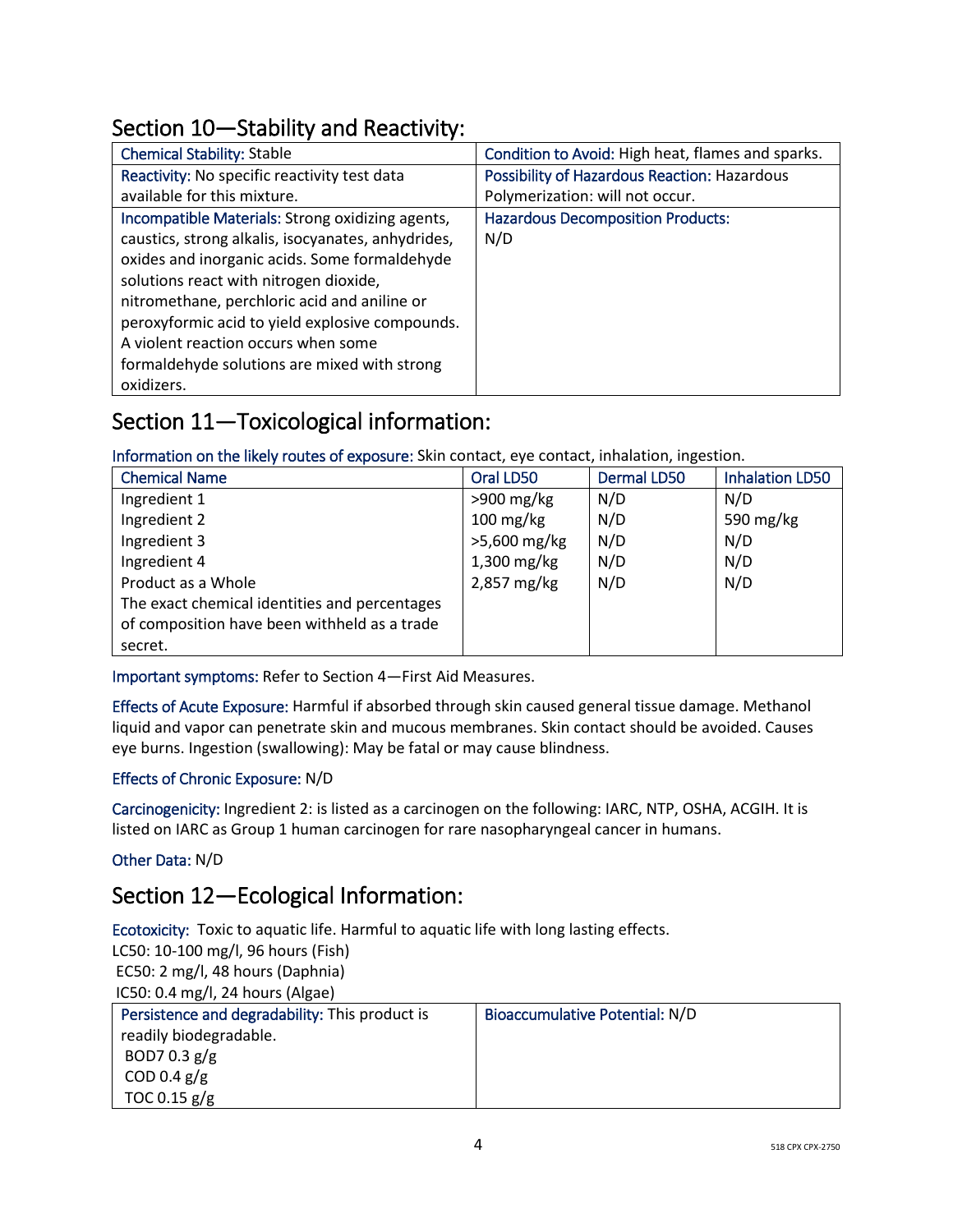# Section 10—Stability and Reactivity:

| <b>Chemical Stability: Stable</b>                  | Condition to Avoid: High heat, flames and sparks.   |
|----------------------------------------------------|-----------------------------------------------------|
| Reactivity: No specific reactivity test data       | <b>Possibility of Hazardous Reaction: Hazardous</b> |
| available for this mixture.                        | Polymerization: will not occur.                     |
| Incompatible Materials: Strong oxidizing agents,   | <b>Hazardous Decomposition Products:</b>            |
| caustics, strong alkalis, isocyanates, anhydrides, | N/D                                                 |
| oxides and inorganic acids. Some formaldehyde      |                                                     |
| solutions react with nitrogen dioxide,             |                                                     |
| nitromethane, perchloric acid and aniline or       |                                                     |
| peroxyformic acid to yield explosive compounds.    |                                                     |
| A violent reaction occurs when some                |                                                     |
| formaldehyde solutions are mixed with strong       |                                                     |
| oxidizers.                                         |                                                     |

# Section 11—Toxicological information:

Information on the likely routes of exposure: Skin contact, eye contact, inhalation, ingestion.

| <b>Chemical Name</b>                          | Oral LD50              | <b>Dermal LD50</b> | <b>Inhalation LD50</b> |
|-----------------------------------------------|------------------------|--------------------|------------------------|
| Ingredient 1                                  | $>900$ mg/kg           | N/D                | N/D                    |
| Ingredient 2                                  | $100 \,\mathrm{mg/kg}$ | N/D                | 590 mg/kg              |
| Ingredient 3                                  | >5,600 mg/kg           | N/D                | N/D                    |
| Ingredient 4                                  | $1,300$ mg/kg          | N/D                | N/D                    |
| Product as a Whole                            | 2,857 mg/kg            | N/D                | N/D                    |
| The exact chemical identities and percentages |                        |                    |                        |
| of composition have been withheld as a trade  |                        |                    |                        |
| secret.                                       |                        |                    |                        |

Important symptoms: Refer to Section 4—First Aid Measures.

Effects of Acute Exposure: Harmful if absorbed through skin caused general tissue damage. Methanol liquid and vapor can penetrate skin and mucous membranes. Skin contact should be avoided. Causes eye burns. Ingestion (swallowing): May be fatal or may cause blindness.

#### Effects of Chronic Exposure: N/D

Carcinogenicity: Ingredient 2: is listed as a carcinogen on the following: IARC, NTP, OSHA, ACGIH. It is listed on IARC as Group 1 human carcinogen for rare nasopharyngeal cancer in humans.

#### Other Data: N/D

# Section 12—Ecological Information:

Ecotoxicity: Toxic to aquatic life. Harmful to aquatic life with long lasting effects.

LC50: 10-100 mg/l, 96 hours (Fish) EC50: 2 mg/l, 48 hours (Daphnia) IC50: 0.4 mg/l, 24 hours (Algae)

| Persistence and degradability: This product is | Bioaccumulative Potential: N/D |  |
|------------------------------------------------|--------------------------------|--|
| readily biodegradable.                         |                                |  |
| BOD7 0.3 $g/g$                                 |                                |  |
| COD 0.4 $g/g$                                  |                                |  |
| TOC 0.15 $g/g$                                 |                                |  |